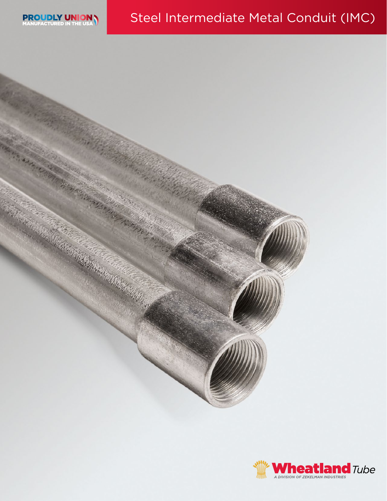



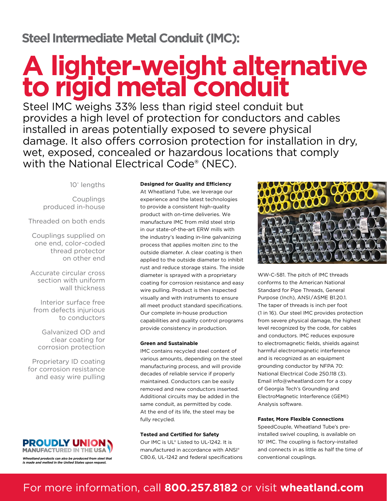# **Steel Intermediate Metal Conduit (IMC):**

# **A lighter-weight alternative to rıgidmetal conduit**

Steel IMC weighs 33% less than rigid steel conduit but provides a high level of protection for conductors and cables installed in areas potentially exposed to severe physical damage. It also offers corrosion protection for installation in dry, wet, exposed, concealed or hazardous locations that comply with the National Electrical Code® (NEC).

10' lengths

Couplings produced in-house

Threaded on both ends

Couplings supplied on one end, color-coded thread protector on other end

Accurate circular cross section with uniform wall thickness

Interior surface free from defects injurious to conductors

Galvanized OD and clear coating for corrosion protection

Proprietary ID coating for corrosion resistance and easy wire pulling



### **Designed for Quality and Efficiency**

At Wheatland Tube, we leverage our experience and the latest technologies to provide a consistent high-quality product with on-time deliveries. We manufacture IMC from mild steel strip in our state-of-the-art ERW mills with the industry's leading in-line galvanizing process that applies molten zinc to the outside diameter. A clear coating is then applied to the outside diameter to inhibit rust and reduce storage stains. The inside diameter is sprayed with a proprietary coating for corrosion resistance and easy wire pulling. Product is then inspected visually and with instruments to ensure all meet product standard specifications. Our complete in-house production capabilities and quality control programs provide consistency in production.

### **Green and Sustainable**

IMC contains recycled steel content of various amounts, depending on the steel manufacturing process, and will provide decades of reliable service if properly maintained. Conductors can be easily removed and new conductors inserted. Additional circuits may be added in the same conduit, as permitted by code. At the end of its life, the steel may be fully recycled.

## **Tested and Certified for Safety**

Our IMC is UL® Listed to UL-1242. It is manufactured in accordance with ANSI® C80.6, UL-1242 and federal specifications



WW-C-581. The pitch of IMC threads conforms to the American National Standard for Pipe Threads, General Purpose (Inch), ANSI/ASME B1.20.1. The taper of threads is inch per foot (1 in 16). Our steel IMC provides protection from severe physical damage, the highest level recognized by the code, for cables and conductors. IMC reduces exposure to electromagnetic fields, shields against harmful electromagnetic interference and is recognized as an equipment grounding conductor by NFPA 70: National Electrical Code 250.118 (3). Email info@wheatland.com for a copy of Georgia Tech's Grounding and ElectroMagnetic Interference (GEMI) Analysis software.

#### **Faster, More Flexible Connections**

SpeedCouple, Wheatland Tube's preinstalled swivel coupling, is available on 10' IMC. The coupling is factory-installed and connects in as little as half the time of conventional couplings.

# For more information, call **800.257.8182** or visit **wheatland.com**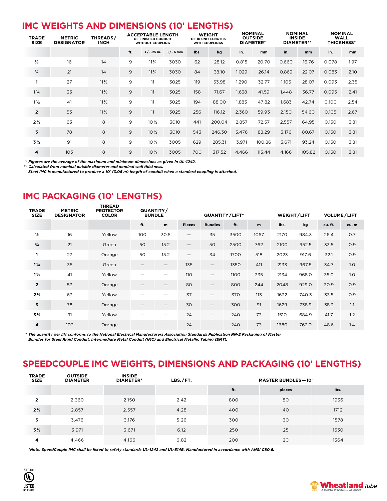## **IMC WEIGHTS AND DIMENSIONS (10' LENGTHS)**

| <b>TRADE</b><br><b>SIZE</b> | <b>METRIC</b><br><b>DESIGNATOR</b> | THREADS/<br><b>INCH</b> | <b>ACCEPTABLE LENGTH</b><br>OF FINISHED CONDUIT<br><b>WITHOUT COUPLING</b> |                   | <b>WEIGHT</b><br>OF 10 UNIT LENGTHS<br><b>WITH COUPLINGS</b> |      | <b>NOMINAL</b><br><b>OUTSIDE</b><br><b>DIAMETER*</b> |       | <b>NOMINAL</b><br><b>INSIDE</b><br><b>DIAMETER**</b> |       | <b>NOMINAL</b><br><b>WALL</b><br><b>THICKNESS*</b> |       |      |
|-----------------------------|------------------------------------|-------------------------|----------------------------------------------------------------------------|-------------------|--------------------------------------------------------------|------|------------------------------------------------------|-------|------------------------------------------------------|-------|----------------------------------------------------|-------|------|
|                             |                                    |                         | ft.                                                                        | $+/-$ .25 in.     | $+/- 6$ mm                                                   | Ibs. | kg                                                   | in.   | mm                                                   | in.   | mm                                                 | in.   | mm   |
| $\frac{1}{2}$               | 16                                 | 14                      | 9                                                                          | $11\frac{1}{4}$   | 3030                                                         | 62   | 28.12                                                | 0.815 | 20.70                                                | 0.660 | 16.76                                              | 0.078 | 1.97 |
| $\frac{3}{4}$               | 21                                 | 14                      | 9                                                                          | $11\frac{1}{4}$   | 3030                                                         | 84   | 38.10                                                | 1.029 | 26.14                                                | 0.869 | 22.07                                              | 0.083 | 2.10 |
| $\mathbf{1}$                | 27                                 | $11\frac{1}{2}$         | 9                                                                          | 11                | 3025                                                         | 119  | 53.98                                                | 1.290 | 32.77                                                | 1.105 | 28.07                                              | 0.093 | 2.35 |
| $1\frac{1}{4}$              | 35                                 | $11\frac{1}{2}$         | 9                                                                          | 11                | 3025                                                         | 158  | 71.67                                                | 1.638 | 41.59                                                | 1.448 | 36.77                                              | 0.095 | 2.41 |
| $1\frac{1}{2}$              | 41                                 | $11\frac{1}{2}$         | 9                                                                          | 11                | 3025                                                         | 194  | 88.00                                                | 1.883 | 47.82                                                | 1.683 | 42.74                                              | 0.100 | 2.54 |
| $\overline{\mathbf{2}}$     | 53                                 | $11\frac{1}{2}$         | 9                                                                          | 11                | 3025                                                         | 256  | 116.12                                               | 2.360 | 59.93                                                | 2.150 | 54.60                                              | 0.105 | 2.67 |
| $2\frac{1}{2}$              | 63                                 | 8                       | 9                                                                          | $10\frac{1}{2}$   | 3010                                                         | 441  | 200.04                                               | 2.857 | 72.57                                                | 2.557 | 64.95                                              | 0.150 | 3.81 |
| $\overline{\mathbf{3}}$     | 78                                 | 8                       | 9                                                                          | $10\frac{1}{2}$   | 3010                                                         | 543  | 246.30                                               | 3.476 | 88.29                                                | 3.176 | 80.67                                              | 0.150 | 3.81 |
| $3\frac{1}{2}$              | 91                                 | 8                       | 9                                                                          | $10\,\frac{1}{4}$ | 3005                                                         | 629  | 285.31                                               | 3.971 | 100.86                                               | 3.671 | 93.24                                              | 0.150 | 3.81 |
| 4                           | 103                                | 8                       | 9                                                                          | $10\,\frac{1}{4}$ | 3005                                                         | 700  | 317.52                                               | 4.466 | 113.44                                               | 4.166 | 105.82                                             | 0.150 | 3.81 |

*\* Figures are the average of the maximum and minimum dimensions as given in UL-1242.*

**THREAD** 

*\*\* Calculated from nominal outside diameter and nominal wall thickness.*

 *Steel IMC is manufactured to produce a 10***'** *(3.05 m) length of conduit when a standard coupling is attached.* 

## **IMC PACKAGING (10' LENGTHS)**

| <b>TRADE</b><br><b>SIZE</b> | <b>METRIC</b><br><b>DESIGNATOR</b> | INNEAD<br><b>PROTECTOR</b><br><b>COLOR</b> | QUANTITY/<br><b>BUNDLE</b> |                          |                          | <b>QUANTITY/LIFT*</b>           |      |      | <b>WEIGHT/LIFT</b> |       | <b>VOLUME/LIFT</b> |      |
|-----------------------------|------------------------------------|--------------------------------------------|----------------------------|--------------------------|--------------------------|---------------------------------|------|------|--------------------|-------|--------------------|------|
|                             |                                    |                                            | ft.                        | ${\bf m}$                | <b>Pieces</b>            | <b>Bundles</b>                  | ft.  | m    | lbs.               | kg    | cu. ft.            | cu.m |
| $\frac{1}{2}$               | 16                                 | Yellow                                     | 100                        | 30.5                     | $\overline{\phantom{m}}$ | 35                              | 3500 | 1067 | 2170               | 984.3 | 26.4               | 0.7  |
| $^{3}/_{4}$                 | 21                                 | Green                                      | 50                         | 15.2                     | $\overline{\phantom{m}}$ | 50                              | 2500 | 762  | 2100               | 952.5 | 33.5               | 0.9  |
| 1                           | 27                                 | Orange                                     | 50                         | 15.2                     | $\overline{\phantom{m}}$ | 34                              | 1700 | 518  | 2023               | 917.6 | 32.1               | 0.9  |
| $1\frac{1}{4}$              | 35                                 | Green                                      | $\overline{\phantom{0}}$   | $\overline{\phantom{0}}$ | 135                      | $\hspace{0.1mm}-\hspace{0.1mm}$ | 1350 | 411  | 2133               | 967.5 | 34.7               | 1.0  |
| $1\frac{1}{2}$              | 41                                 | Yellow                                     |                            |                          | 110                      | $\overline{\phantom{m}}$        | 1100 | 335  | 2134               | 968.0 | 35.0               | 1.0  |
| $\overline{2}$              | 53                                 | Orange                                     |                            |                          | 80                       | $\overline{\phantom{m}}$        | 800  | 244  | 2048               | 929.0 | 30.9               | 0.9  |
| $2\frac{1}{2}$              | 63                                 | Yellow                                     |                            |                          | 37                       | $\overline{\phantom{0}}$        | 370  | 113  | 1632               | 740.3 | 33.5               | 0.9  |
| 3                           | 78                                 | Orange                                     |                            |                          | 30                       | $\overline{\phantom{m}}$        | 300  | 91   | 1629               | 738.9 | 38.3               | 1.1  |
| 3 %                         | 91                                 | Yellow                                     |                            |                          | 24                       | $\qquad \qquad -$               | 240  | 73   | 1510               | 684.9 | 41.7               | 1.2  |
| 4                           | 103                                | Orange                                     |                            |                          | 24                       | $\overline{\phantom{m}}$        | 240  | 73   | 1680               | 762.0 | 48.6               | 1.4  |

*\* The quantity per lift conforms to the National Electrical Manufacturers Association Standards Publication RN-2 Packaging of Master Bundles for Steel Rigid Conduit, Intermediate Metal Conduit (IMC) and Electrical Metallic Tubing (EMT).*

# **SPEEDCOUPLE IMC WEIGHTS, DIMENSIONS AND PACKAGING (10' LENGTHS)**

| <b>TRADE</b><br><b>SIZE</b> | <b>OUTSIDE</b><br><b>DIAMETER</b> | <b>INSIDE</b><br><b>DIAMETER*</b> | LBS./FT. | <b>MASTER BUNDLES-10'</b> |        |      |  |  |  |
|-----------------------------|-----------------------------------|-----------------------------------|----------|---------------------------|--------|------|--|--|--|
|                             |                                   |                                   |          | ft.                       | pieces | Ibs. |  |  |  |
| $\overline{\mathbf{2}}$     | 2.360                             | 2.150                             | 2.42     | 800                       | 80     | 1936 |  |  |  |
| $2\frac{1}{2}$              | 2.857                             | 2.557                             | 4.28     | 400                       | 40     | 1712 |  |  |  |
| 3                           | 3.476                             | 3.176                             | 5.26     | 300                       | 30     | 1578 |  |  |  |
| $3\frac{1}{2}$              | 3.971                             | 3.671                             | 6.12     | 250                       | 25     | 1530 |  |  |  |
| 4                           | 4.466                             | 4.166                             | 6.82     | 200                       | 20     | 1364 |  |  |  |

 *\*Note: SpeedCouple IMC shall be listed to safety standards UL-1242 and UL-514B. Manufactured in accordance with ANSI C80.6.*